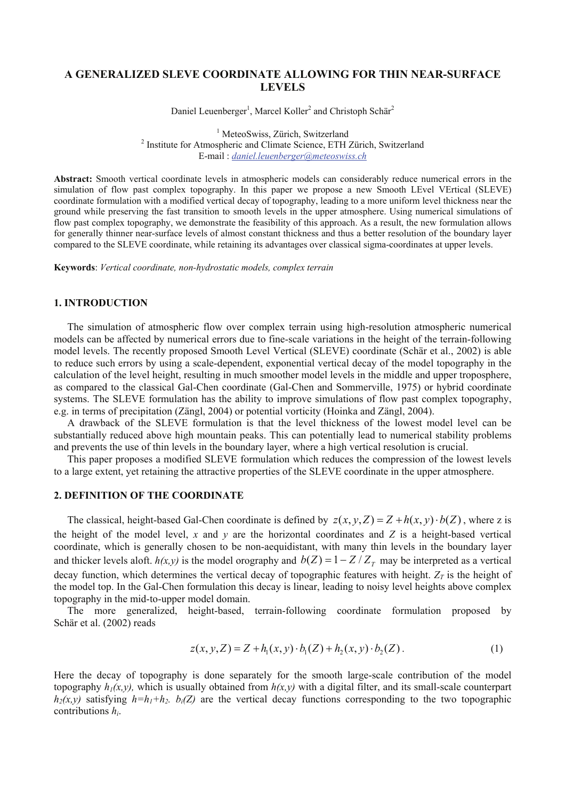## **A GENERALIZED SLEVE COORDINATE ALLOWING FOR THIN NEAR-SURFACE LEVELS**

Daniel Leuenberger<sup>1</sup>, Marcel Koller<sup>2</sup> and Christoph Schär<sup>2</sup>

<sup>1</sup> MeteoSwiss, Zürich, Switzerland <sup>1</sup> MeteoSwiss, Zürich, Switzerland<br><sup>2</sup> Institute for Atmospheric and Climate Science, ETH Zürich, Switzerland E-mail : *daniel.leuenberger@meteoswiss.ch*

**Abstract:** Smooth vertical coordinate levels in atmospheric models can considerably reduce numerical errors in the simulation of flow past complex topography. In this paper we propose a new Smooth LEvel VErtical (SLEVE) coordinate formulation with a modified vertical decay of topography, leading to a more uniform level thickness near the ground while preserving the fast transition to smooth levels in the upper atmosphere. Using numerical simulations of flow past complex topography, we demonstrate the feasibility of this approach. As a result, the new formulation allows for generally thinner near-surface levels of almost constant thickness and thus a better resolution of the boundary layer compared to the SLEVE coordinate, while retaining its advantages over classical sigma-coordinates at upper levels.

**Keywords**: *Vertical coordinate, non-hydrostatic models, complex terrain* 

## **1. INTRODUCTION**

The simulation of atmospheric flow over complex terrain using high-resolution atmospheric numerical models can be affected by numerical errors due to fine-scale variations in the height of the terrain-following model levels. The recently proposed Smooth Level Vertical (SLEVE) coordinate (Schär et al., 2002) is able to reduce such errors by using a scale-dependent, exponential vertical decay of the model topography in the calculation of the level height, resulting in much smoother model levels in the middle and upper troposphere, as compared to the classical Gal-Chen coordinate (Gal-Chen and Sommerville, 1975) or hybrid coordinate systems. The SLEVE formulation has the ability to improve simulations of flow past complex topography, e.g. in terms of precipitation (Zängl, 2004) or potential vorticity (Hoinka and Zängl, 2004).

A drawback of the SLEVE formulation is that the level thickness of the lowest model level can be substantially reduced above high mountain peaks. This can potentially lead to numerical stability problems and prevents the use of thin levels in the boundary layer, where a high vertical resolution is crucial.

This paper proposes a modified SLEVE formulation which reduces the compression of the lowest levels to a large extent, yet retaining the attractive properties of the SLEVE coordinate in the upper atmosphere.

# **2. DEFINITION OF THE COORDINATE**

The classical, height-based Gal-Chen coordinate is defined by  $z(x, y, Z) = Z + h(x, y) \cdot b(Z)$ , where z is the height of the model level, *x* and *y* are the horizontal coordinates and *Z* is a height-based vertical coordinate, which is generally chosen to be non-aequidistant, with many thin levels in the boundary layer and thicker levels aloft.  $h(x, y)$  is the model orography and  $b(Z) = 1 - Z/Z<sub>T</sub>$  may be interpreted as a vertical decay function, which determines the vertical decay of topographic features with height.  $Z_T$  is the height of the model top. In the Gal-Chen formulation this decay is linear, leading to noisy level heights above complex topography in the mid-to-upper model domain.

The more generalized, height-based, terrain-following coordinate formulation proposed by Schär et al. (2002) reads

$$
z(x, y, Z) = Z + h_1(x, y) \cdot b_1(Z) + h_2(x, y) \cdot b_2(Z).
$$
 (1)

Here the decay of topography is done separately for the smooth large-scale contribution of the model topography  $h_1(x, y)$ , which is usually obtained from  $h(x, y)$  with a digital filter, and its small-scale counterpart  $h_2(x, y)$  satisfying  $h=h_1+h_2$ .  $b_i(Z)$  are the vertical decay functions corresponding to the two topographic contributions *hi*.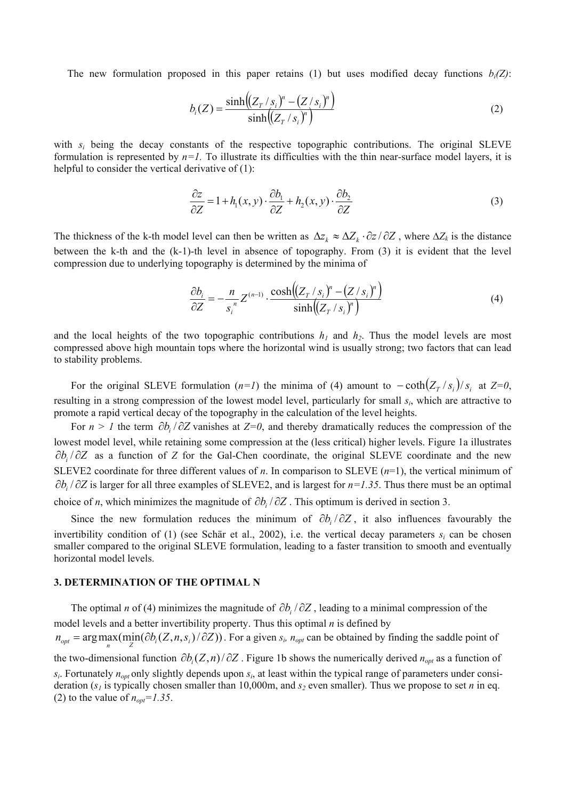The new formulation proposed in this paper retains (1) but uses modified decay functions  $b_i(Z)$ :

$$
b_i(Z) = \frac{\sinh((Z_T / s_i)^n - (Z / s_i)^n)}{\sinh((Z_T / s_i)^n)}
$$
(2)

with  $s_i$  being the decay constants of the respective topographic contributions. The original SLEVE formulation is represented by  $n=1$ . To illustrate its difficulties with the thin near-surface model layers, it is helpful to consider the vertical derivative of (1):

$$
\frac{\partial z}{\partial Z} = 1 + h_1(x, y) \cdot \frac{\partial b_1}{\partial Z} + h_2(x, y) \cdot \frac{\partial b_2}{\partial Z}
$$
(3)

The thickness of the k-th model level can then be written as  $\Delta z_k \approx \Delta Z_k \cdot \partial z / \partial Z$ , where  $\Delta Z_k$  is the distance between the k-th and the (k-1)-th level in absence of topography. From (3) it is evident that the level compression due to underlying topography is determined by the minima of

$$
\frac{\partial b_i}{\partial Z} = -\frac{n}{s_i^n} Z^{(n-1)} \cdot \frac{\cosh((Z_T / s_i)^n - (Z / s_i)^n)}{\sinh((Z_T / s_i)^n)}
$$
(4)

and the local heights of the two topographic contributions  $h_1$  and  $h_2$ . Thus the model levels are most compressed above high mountain tops where the horizontal wind is usually strong; two factors that can lead to stability problems.

For the original SLEVE formulation (*n*=*I*) the minima of (4) amount to  $-\coth(Z_T / s_i)/s_i$  at  $Z=0$ , resulting in a strong compression of the lowest model level, particularly for small *si*, which are attractive to promote a rapid vertical decay of the topography in the calculation of the level heights.

For *n > 1* the term ∂*bi* / ∂*Z* vanishes at *Z=0*, and thereby dramatically reduces the compression of the lowest model level, while retaining some compression at the (less critical) higher levels. Figure 1a illustrates ∂*b<sub>i</sub>* / ∂*Z* as a function of *Z* for the Gal-Chen coordinate, the original SLEVE coordinate and the new SLEVE2 coordinate for three different values of  $n$ . In comparison to SLEVE  $(n=1)$ , the vertical minimum of ∂*bi* / ∂*Z* is larger for all three examples of SLEVE2, and is largest for *n=1.35*. Thus there must be an optimal choice of *n*, which minimizes the magnitude of  $\partial b_i / \partial Z$ . This optimum is derived in section 3.

Since the new formulation reduces the minimum of  $\partial b_i / \partial Z$ , it also influences favourably the invertibility condition of (1) (see Schär et al., 2002), i.e. the vertical decay parameters  $s_i$  can be chosen smaller compared to the original SLEVE formulation, leading to a faster transition to smooth and eventually horizontal model levels.

### **3. DETERMINATION OF THE OPTIMAL N**

The optimal *n* of (4) minimizes the magnitude of  $\partial b_i / \partial Z$ , leading to a minimal compression of the model levels and a better invertibility property. Thus this optimal *n* is defined by  $n_{opt} = \arg \max(\min(\partial b_i(Z, n, s_i)/\partial Z))$ . For a given  $s_i$ ,  $n_{opt}$  can be obtained by finding the saddle point of the two-dimensional function  $\partial b_i(Z,n)/\partial Z$ . Figure 1b shows the numerically derived  $n_{opt}$  as a function of  $s_i$ . Fortunately  $n_{opt}$  only slightly depends upon  $s_i$ , at least within the typical range of parameters under consideration ( $s<sub>1</sub>$  is typically chosen smaller than 10,000m, and  $s<sub>2</sub>$  even smaller). Thus we propose to set *n* in eq. (2) to the value of  $n_{opt} = 1.35$ .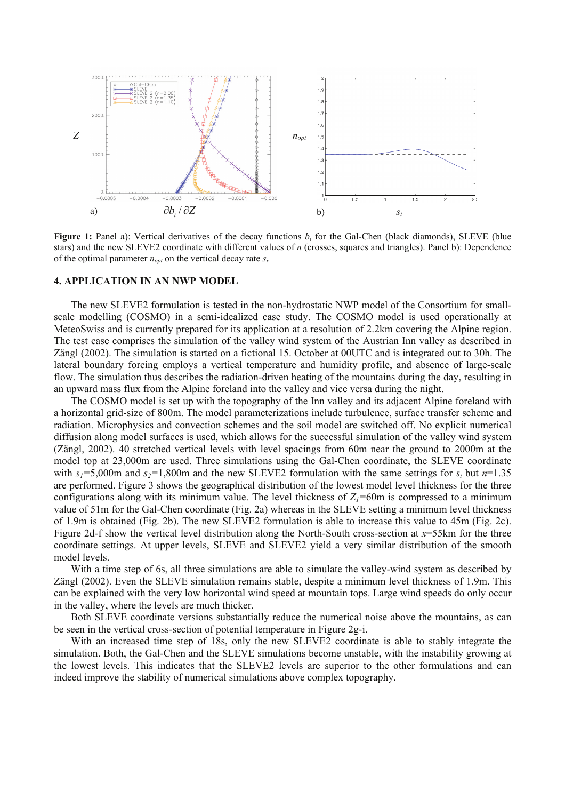

**Figure 1:** Panel a): Vertical derivatives of the decay functions  $b_i$  for the Gal-Chen (black diamonds), SLEVE (blue stars) and the new SLEVE2 coordinate with different values of *n* (crosses, squares and triangles). Panel b): Dependence of the optimal parameter  $n_{opt}$  on the vertical decay rate  $s_i$ .

### **4. APPLICATION IN AN NWP MODEL**

The new SLEVE2 formulation is tested in the non-hydrostatic NWP model of the Consortium for smallscale modelling (COSMO) in a semi-idealized case study. The COSMO model is used operationally at MeteoSwiss and is currently prepared for its application at a resolution of 2.2km covering the Alpine region. The test case comprises the simulation of the valley wind system of the Austrian Inn valley as described in Zängl (2002). The simulation is started on a fictional 15. October at 00UTC and is integrated out to 30h. The lateral boundary forcing employs a vertical temperature and humidity profile, and absence of large-scale flow. The simulation thus describes the radiation-driven heating of the mountains during the day, resulting in an upward mass flux from the Alpine foreland into the valley and vice versa during the night.

The COSMO model is set up with the topography of the Inn valley and its adjacent Alpine foreland with a horizontal grid-size of 800m. The model parameterizations include turbulence, surface transfer scheme and radiation. Microphysics and convection schemes and the soil model are switched off. No explicit numerical diffusion along model surfaces is used, which allows for the successful simulation of the valley wind system (Zängl, 2002). 40 stretched vertical levels with level spacings from 60m near the ground to 2000m at the model top at 23,000m are used. Three simulations using the Gal-Chen coordinate, the SLEVE coordinate with  $s_1 = 5,000$ m and  $s_2 = 1,800$ m and the new SLEVE2 formulation with the same settings for  $s_i$  but  $n=1.35$ are performed. Figure 3 shows the geographical distribution of the lowest model level thickness for the three configurations along with its minimum value. The level thickness of  $Z_1$ =60m is compressed to a minimum value of 51m for the Gal-Chen coordinate (Fig. 2a) whereas in the SLEVE setting a minimum level thickness of 1.9m is obtained (Fig. 2b). The new SLEVE2 formulation is able to increase this value to 45m (Fig. 2c). Figure 2d-f show the vertical level distribution along the North-South cross-section at *x*=55km for the three coordinate settings. At upper levels, SLEVE and SLEVE2 yield a very similar distribution of the smooth model levels.

With a time step of 6s, all three simulations are able to simulate the valley-wind system as described by Zängl (2002). Even the SLEVE simulation remains stable, despite a minimum level thickness of 1.9m. This can be explained with the very low horizontal wind speed at mountain tops. Large wind speeds do only occur in the valley, where the levels are much thicker.

Both SLEVE coordinate versions substantially reduce the numerical noise above the mountains, as can be seen in the vertical cross-section of potential temperature in Figure 2g-i.

With an increased time step of 18s, only the new SLEVE2 coordinate is able to stably integrate the simulation. Both, the Gal-Chen and the SLEVE simulations become unstable, with the instability growing at the lowest levels. This indicates that the SLEVE2 levels are superior to the other formulations and can indeed improve the stability of numerical simulations above complex topography.